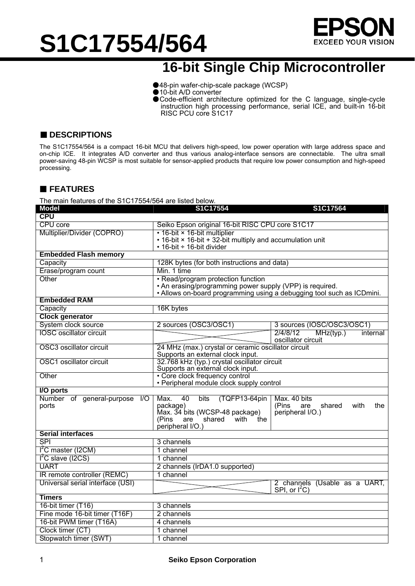

### **16-bit Single Chip Microcontroller**

- ●48-pin wafer-chip-scale package (WCSP)
- ●10-bit A/D converter
- ●Code-efficient architecture optimized for the C language, single-cycle instruction high processing performance, serial ICE, and built-in 16-bit RISC PCU core S1C17

#### ■ **DESCRIPTIONS**

The S1C17554/564 is a compact 16-bit MCU that delivers high-speed, low power operation with large address space and on-chip ICE. It integrates A/D converter and thus various analog-interface sensors are connectable. The ultra small power-saving 48-pin WCSP is most suitable for sensor-applied products that require low power consumption and high-speed processing.

#### **FEATURES**

The main features of the S1C17554/564 are listed below.

| <b>Model</b>                                  | S1C17554                                                                                 | S1C17564                                                |  |
|-----------------------------------------------|------------------------------------------------------------------------------------------|---------------------------------------------------------|--|
| <b>CPU</b>                                    |                                                                                          |                                                         |  |
| <b>CPU</b> core                               | Seiko Epson original 16-bit RISC CPU core S1C17                                          |                                                         |  |
| Multiplier/Divider (COPRO)                    | • 16-bit × 16-bit multiplier                                                             |                                                         |  |
|                                               | • 16-bit × 16-bit + 32-bit multiply and accumulation unit<br>• 16-bit ÷ 16-bit divider   |                                                         |  |
| <b>Embedded Flash memory</b>                  |                                                                                          |                                                         |  |
| Capacity                                      | 128K bytes (for both instructions and data)                                              |                                                         |  |
| Erase/program count                           | Min. 1 time                                                                              |                                                         |  |
| Other                                         | • Read/program protection function                                                       |                                                         |  |
|                                               | • An erasing/programming power supply (VPP) is required.                                 |                                                         |  |
|                                               | • Allows on-board programming using a debugging tool such as ICDmini.                    |                                                         |  |
| <b>Embedded RAM</b>                           |                                                                                          |                                                         |  |
| Capacity                                      | 16K bytes                                                                                |                                                         |  |
| <b>Clock generator</b>                        |                                                                                          |                                                         |  |
| System clock source                           | 2 sources (OSC3/OSC1)                                                                    | 3 sources (IOSC/OSC3/OSC1)                              |  |
| <b>IOSC</b> oscillator circuit                |                                                                                          | 2/4/8/12<br>MHz(typ.)<br>internal<br>oscillator circuit |  |
| OSC3 oscillator circuit                       | 24 MHz (max.) crystal or ceramic oscillator circuit<br>Supports an external clock input. |                                                         |  |
| OSC1 oscillator circuit                       | 32.768 kHz (typ.) crystal oscillator circuit<br>Supports an external clock input.        |                                                         |  |
| Other                                         | • Core clock frequency control<br>• Peripheral module clock supply control               |                                                         |  |
| I/O ports                                     |                                                                                          |                                                         |  |
| Number of general-purpose<br>$\overline{1/O}$ | 40<br>Max.<br>bits<br>(TQFP13-64pin)                                                     | Max. 40 bits                                            |  |
| ports                                         | package)                                                                                 | (Pins<br>shared<br>with<br>are<br>the                   |  |
|                                               | Max. 34 bits (WCSP-48 package)<br>shared<br>with<br>(Pins<br>are<br>the.                 | peripheral I/O.)                                        |  |
|                                               | peripheral I/O.)                                                                         |                                                         |  |
| <b>Serial interfaces</b>                      |                                                                                          |                                                         |  |
| <b>SPI</b>                                    | 3 channels                                                                               |                                                         |  |
| I <sup>2</sup> C master (I2CM)                | 1 channel                                                                                |                                                         |  |
| $\overline{I^2}C$ slave (I2CS)                | 1 channel                                                                                |                                                         |  |
| <b>UART</b>                                   | 2 channels (IrDA1.0 supported)                                                           |                                                         |  |
| IR remote controller (REMC)                   | 1 channel                                                                                |                                                         |  |
| Universal serial interface (USI)              |                                                                                          | 2 channels (Usable as a UART,<br>SPI, or $I^2C$ )       |  |
| <b>Timers</b>                                 |                                                                                          |                                                         |  |
| 16-bit timer (T16)                            | 3 channels                                                                               |                                                         |  |
| Fine mode 16-bit timer (T16F)                 | 2 channels                                                                               |                                                         |  |
| 16-bit PWM timer (T16A)                       | 4 channels                                                                               |                                                         |  |
| Clock timer (CT)                              | 1 channel                                                                                |                                                         |  |
| Stopwatch timer (SWT)                         | 1 channel                                                                                |                                                         |  |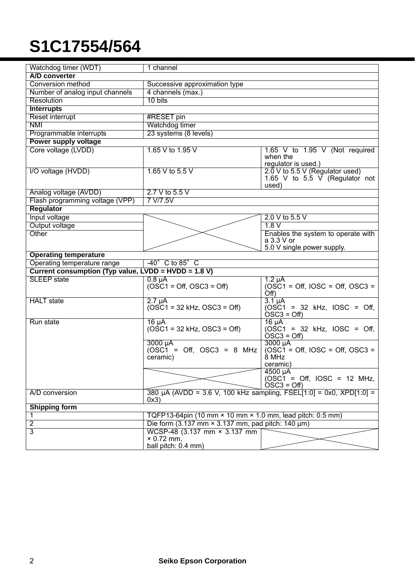| Watchdog timer (WDT)                                          | 1 channel                                                                   |                                                                     |  |
|---------------------------------------------------------------|-----------------------------------------------------------------------------|---------------------------------------------------------------------|--|
| A/D converter                                                 |                                                                             |                                                                     |  |
| Conversion method                                             | Successive approximation type                                               |                                                                     |  |
| Number of analog input channels                               | 4 channels (max.)                                                           |                                                                     |  |
| Resolution                                                    | 10 bits                                                                     |                                                                     |  |
| <b>Interrupts</b>                                             |                                                                             |                                                                     |  |
| <b>Reset interrupt</b>                                        | #RESET pin                                                                  |                                                                     |  |
| NMI                                                           | Watchdog timer                                                              |                                                                     |  |
| Programmable interrupts                                       | 23 systems (8 levels)                                                       |                                                                     |  |
| Power supply voltage                                          |                                                                             |                                                                     |  |
| Core voltage (LVDD)                                           | 1.65 V to 1.95 V                                                            | 1.65 V to 1.95 V (Not required                                      |  |
|                                                               |                                                                             | when the<br>regulator is used.)                                     |  |
| I/O voltage (HVDD)                                            | 1.65 V to 5.5 V                                                             | 2.0 V to 5.5 V (Regulator used)                                     |  |
|                                                               |                                                                             | 1.65 V to 5.5 $\overline{V}$ (Regulator not                         |  |
|                                                               |                                                                             | used)                                                               |  |
| Analog voltage (AVDD)                                         | 2.7 V to 5.5 V                                                              |                                                                     |  |
| Flash programming voltage (VPP)                               | 7 V/7.5V                                                                    |                                                                     |  |
| <b>Regulator</b>                                              |                                                                             |                                                                     |  |
| Input voltage                                                 |                                                                             | 2.0 V to 5.5 V                                                      |  |
| Output voltage                                                |                                                                             | 1.8V                                                                |  |
| Other                                                         |                                                                             | Enables the system to operate with                                  |  |
|                                                               |                                                                             | a 3.3 V or                                                          |  |
| <b>Operating temperature</b>                                  |                                                                             | 5.0 V single power supply.                                          |  |
| Operating temperature range<br>$-40^\circ$ C to 85 $^\circ$ C |                                                                             |                                                                     |  |
| Current consumption (Typ value, LVDD = HVDD = 1.8 V)          |                                                                             |                                                                     |  |
| <b>SLEEP</b> state                                            | $0.8 \mu A$                                                                 | $1.2 \mu A$                                                         |  |
|                                                               | $(OSC1 = Off, OSC3 = Off)$                                                  | $OSC1 = Off$ , $IOSC = Off$ , $OSC3 =$                              |  |
|                                                               |                                                                             | Off)                                                                |  |
| <b>HALT</b> state                                             | $2.7 \mu A$                                                                 | $3.1 \mu A$                                                         |  |
|                                                               | $(OSC1 = 32$ kHz, $OSC3 = Off)$                                             | $(OSC1 = 32$ kHz, $IOSC = Off$ ,                                    |  |
|                                                               |                                                                             | $OSC3 = Off$                                                        |  |
| Run state                                                     | $16 \mu A$<br>$(OSC1 = 32$ kHz, $OSC3 = Off)$                               | $16 \mu A$<br>$\overline{OSC1}$ = 32 kHz, IOSC = Off,               |  |
|                                                               |                                                                             | $\overline{OSC3} = \overline{Off}$                                  |  |
|                                                               | 3000 µA                                                                     | 3000 µA                                                             |  |
|                                                               | $(OSC1 = Off, OSC3 = 8 MHz)$                                                | $(OSC1 = Off, IOSC = Off, OSC3 =$                                   |  |
|                                                               | ceramic)                                                                    | $8$ MHz                                                             |  |
|                                                               |                                                                             | ceramic)                                                            |  |
|                                                               |                                                                             | 4500 µA                                                             |  |
|                                                               |                                                                             | $(OSC1 = Off, IOSC = 12 MHz,$<br>$\overline{O}SC3 = \overline{Off}$ |  |
| A/D conversion                                                |                                                                             |                                                                     |  |
|                                                               | 380 µA (AVDD = 3.6 V, 100 kHz sampling, FSEL[1:0] = 0x0, XPD[1:0] =<br>0x3) |                                                                     |  |
| <b>Shipping form</b>                                          |                                                                             |                                                                     |  |
| 1                                                             | TQFP13-64pin (10 mm $\times$ 10 mm $\times$ 1.0 mm, lead pitch: 0.5 mm)     |                                                                     |  |
| $\overline{2}$                                                | Die form $(3.137 \text{ mm} \times 3.137 \text{ mm})$ , pad pitch: 140 µm)  |                                                                     |  |
| 3                                                             | WCSP-48 (3.137 mm × 3.137 mm                                                |                                                                     |  |
|                                                               | $\times$ 0.72 mm,                                                           |                                                                     |  |
|                                                               | ball pitch: 0.4 mm)                                                         |                                                                     |  |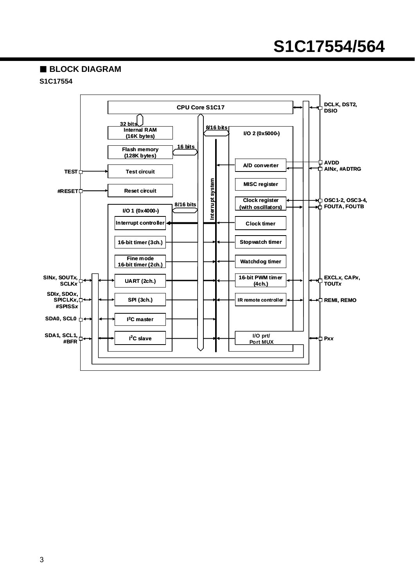#### **BLOCK DIAGRAM**

#### **S1C17554**